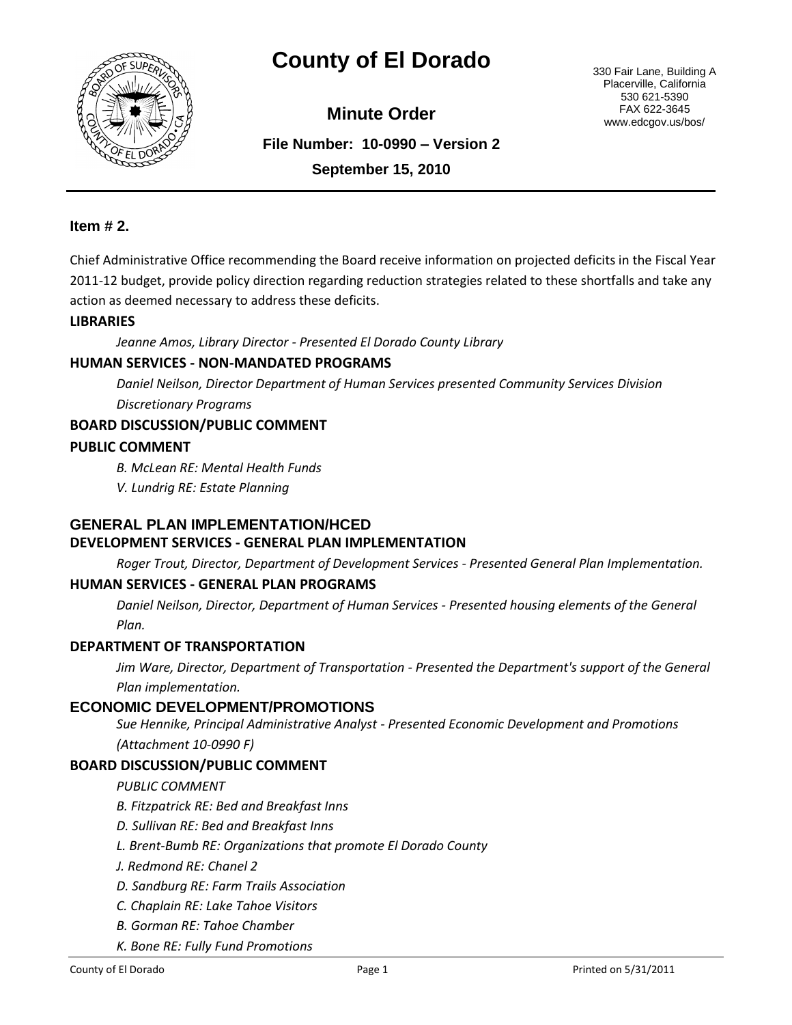

# **County of El Dorado** 330 Fair Lane, Building A

**Minute Order**

Placerville, California 530 621-5390 FAX 622-3645 www.edcgov.us/bos/

**File Number: 10-0990 – Version 2 September 15, 2010**

## **Item # 2.**

Chief Administrative Office recommending the Board receive information on projected deficits in the Fiscal Year 2011-12 budget, provide policy direction regarding reduction strategies related to these shortfalls and take any action as deemed necessary to address these deficits.

#### **LIBRARIES**

*Jeanne Amos, Library Director - Presented El Dorado County Library*

# **HUMAN SERVICES - NON-MANDATED PROGRAMS**

*Daniel Neilson, Director Department of Human Services presented Community Services Division Discretionary Programs*

#### **BOARD DISCUSSION/PUBLIC COMMENT**

#### **PUBLIC COMMENT**

*B. McLean RE: Mental Health Funds*

*V. Lundrig RE: Estate Planning*

#### **GENERAL PLAN IMPLEMENTATION/HCED DEVELOPMENT SERVICES - GENERAL PLAN IMPLEMENTATION**

*Roger Trout, Director, Department of Development Services - Presented General Plan Implementation.*

#### **HUMAN SERVICES - GENERAL PLAN PROGRAMS**

*Daniel Neilson, Director, Department of Human Services - Presented housing elements of the General Plan.*

#### **DEPARTMENT OF TRANSPORTATION**

*Jim Ware, Director, Department of Transportation - Presented the Department's support of the General Plan implementation.*

# **ECONOMIC DEVELOPMENT/PROMOTIONS**

*Sue Hennike, Principal Administrative Analyst - Presented Economic Development and Promotions (Attachment 10-0990 F)*

#### **BOARD DISCUSSION/PUBLIC COMMENT**

*PUBLIC COMMENT*

- *B. Fitzpatrick RE: Bed and Breakfast Inns*
- *D. Sullivan RE: Bed and Breakfast Inns*
- *L. Brent-Bumb RE: Organizations that promote El Dorado County*
- *J. Redmond RE: Chanel 2*
- *D. Sandburg RE: Farm Trails Association*
- *C. Chaplain RE: Lake Tahoe Visitors*
- *B. Gorman RE: Tahoe Chamber*
- *K. Bone RE: Fully Fund Promotions*